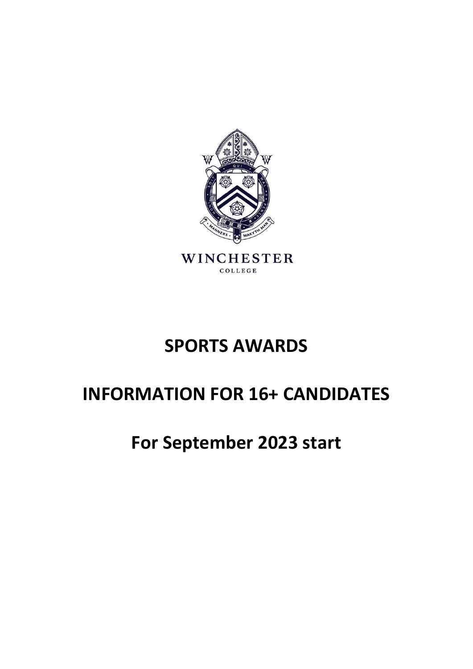

## **SPORTS AWARDS**

# **INFORMATION FOR 16+ CANDIDATES**

## **For September 2023 start**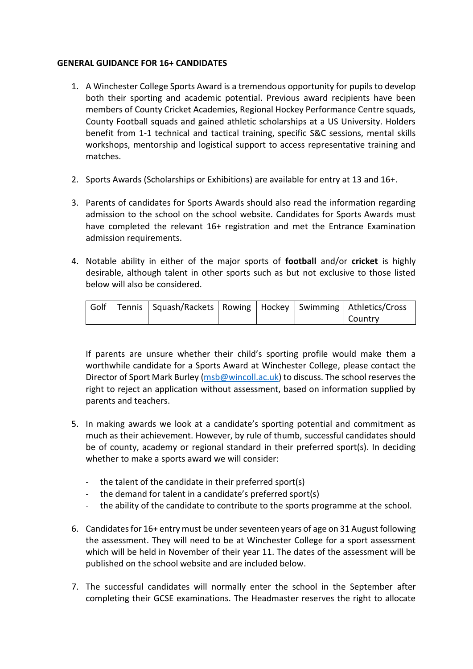#### **GENERAL GUIDANCE FOR 16+ CANDIDATES**

- 1. A Winchester College Sports Award is a tremendous opportunity for pupils to develop both their sporting and academic potential. Previous award recipients have been members of County Cricket Academies, Regional Hockey Performance Centre squads, County Football squads and gained athletic scholarships at a US University. Holders benefit from 1-1 technical and tactical training, specific S&C sessions, mental skills workshops, mentorship and logistical support to access representative training and matches.
- 2. Sports Awards (Scholarships or Exhibitions) are available for entry at 13 and 16+.
- 3. Parents of candidates for Sports Awards should also read the information regarding admission to the school on the school website. Candidates for Sports Awards must have completed the relevant 16+ registration and met the Entrance Examination admission requirements.
- 4. Notable ability in either of the major sports of **football** and/or **cricket** is highly desirable, although talent in other sports such as but not exclusive to those listed below will also be considered.

|  | Golf   Tennis   Squash/Rackets   Rowing   Hockey   Swimming   Athletics/Cross |  |                |
|--|-------------------------------------------------------------------------------|--|----------------|
|  |                                                                               |  | <b>Country</b> |

If parents are unsure whether their child's sporting profile would make them a worthwhile candidate for a Sports Award at Winchester College, please contact the Director of Sport Mark Burley [\(msb@wincoll.ac.uk\)](mailto:msb@wincoll.ac.uk) to discuss. The school reserves the right to reject an application without assessment, based on information supplied by parents and teachers.

- 5. In making awards we look at a candidate's sporting potential and commitment as much as their achievement. However, by rule of thumb, successful candidates should be of county, academy or regional standard in their preferred sport(s). In deciding whether to make a sports award we will consider:
	- the talent of the candidate in their preferred sport(s)
	- the demand for talent in a candidate's preferred sport(s)
	- the ability of the candidate to contribute to the sports programme at the school.
- 6. Candidates for 16+ entry must be under seventeen years of age on 31 August following the assessment. They will need to be at Winchester College for a sport assessment which will be held in November of their year 11. The dates of the assessment will be published on the school website and are included below.
- 7. The successful candidates will normally enter the school in the September after completing their GCSE examinations. The Headmaster reserves the right to allocate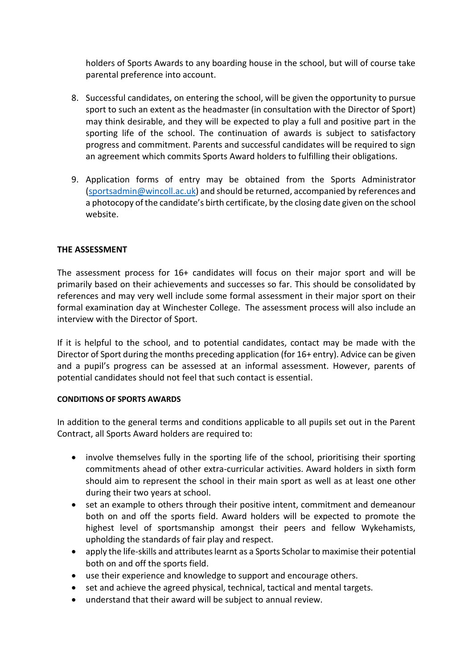holders of Sports Awards to any boarding house in the school, but will of course take parental preference into account.

- 8. Successful candidates, on entering the school, will be given the opportunity to pursue sport to such an extent as the headmaster (in consultation with the Director of Sport) may think desirable, and they will be expected to play a full and positive part in the sporting life of the school. The continuation of awards is subject to satisfactory progress and commitment. Parents and successful candidates will be required to sign an agreement which commits Sports Award holders to fulfilling their obligations.
- 9. Application forms of entry may be obtained from the Sports Administrator [\(sportsadmin@wincoll.ac.uk\)](mailto:sportsadmin@wincoll.ac.uk) and should be returned, accompanied by references and a photocopy of the candidate's birth certificate, by the closing date given on the school website.

### **THE ASSESSMENT**

The assessment process for 16+ candidates will focus on their major sport and will be primarily based on their achievements and successes so far. This should be consolidated by references and may very well include some formal assessment in their major sport on their formal examination day at Winchester College. The assessment process will also include an interview with the Director of Sport.

If it is helpful to the school, and to potential candidates, contact may be made with the Director of Sport during the months preceding application (for 16+ entry). Advice can be given and a pupil's progress can be assessed at an informal assessment. However, parents of potential candidates should not feel that such contact is essential.

#### **CONDITIONS OF SPORTS AWARDS**

In addition to the general terms and conditions applicable to all pupils set out in the Parent Contract, all Sports Award holders are required to:

- involve themselves fully in the sporting life of the school, prioritising their sporting commitments ahead of other extra-curricular activities. Award holders in sixth form should aim to represent the school in their main sport as well as at least one other during their two years at school.
- set an example to others through their positive intent, commitment and demeanour both on and off the sports field. Award holders will be expected to promote the highest level of sportsmanship amongst their peers and fellow Wykehamists, upholding the standards of fair play and respect.
- apply the life-skills and attributes learnt as a Sports Scholar to maximise their potential both on and off the sports field.
- use their experience and knowledge to support and encourage others.
- set and achieve the agreed physical, technical, tactical and mental targets.
- understand that their award will be subject to annual review.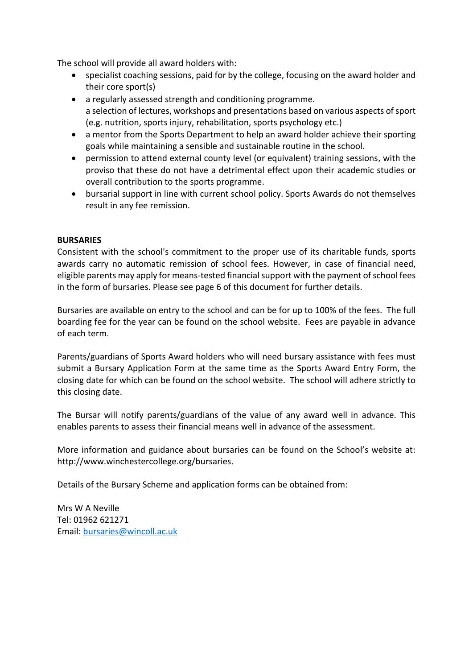The school will provide all award holders with:

- specialist coaching sessions, paid for by the college, focusing on the award holder and their core sport(s)
- a regularly assessed strength and conditioning programme. a selection of lectures, workshops and presentations based on various aspects of sport (e.g. nutrition, sports injury, rehabilitation, sports psychology etc.)
- a mentor from the Sports Department to help an award holder achieve their sporting goals while maintaining a sensible and sustainable routine in the school.
- permission to attend external county level (or equivalent) training sessions, with the proviso that these do not have a detrimental effect upon their academic studies or overall contribution to the sports programme.
- bursarial support in line with current school policy. Sports Awards do not themselves result in any fee remission.

### **BURSARIES**

Consistent with the school's commitment to the proper use of its charitable funds, sports awards carry no automatic remission of school fees. However, in case of financial need, eligible parents may apply for means-tested financial support with the payment of school fees in the form of bursaries. Please see page 6 of this document for further details.

Bursaries are available on entry to the school and can be for up to 100% of the fees. The full boarding fee for the year can be found on the school website. Fees are payable in advance of each term.

Parents/guardians of Sports Award holders who will need bursary assistance with fees must submit a Bursary Application Form at the same time as the Sports Award Entry Form, the closing date for which can be found on the school website. The school will adhere strictly to this closing date.

The Bursar will notify parents/guardians of the value of any award well in advance. This enables parents to assess their financial means well in advance of the assessment.

More information and guidance about bursaries can be found on the School's website at: http://www.winchestercollege.org/bursaries.

Details of the Bursary Scheme and application forms can be obtained from:

Mrs W A Neville Tel: 01962 621271 Email: [bursaries@wincoll.ac.uk](mailto:bursaries@wincoll.ac.uk)